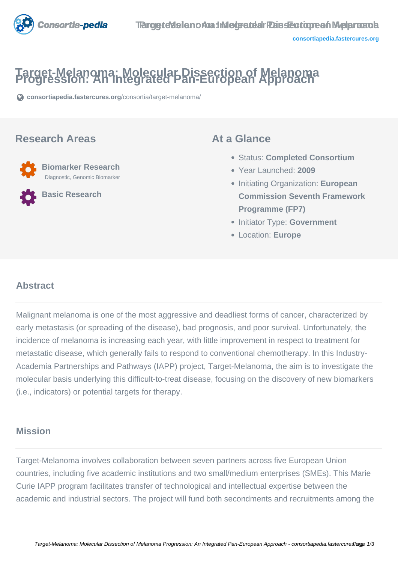

# **Target-Melanoma: Molecular Dissection of Melanoma Progression: An Integrated Pan-European Approach**

**[consortiapedia.fastercures.org](https://consortiapedia.fastercures.org/consortia/target-melanoma/)**[/consortia/target-melanoma/](https://consortiapedia.fastercures.org/consortia/target-melanoma/)

### **Research Areas**

 **Biomarker Research** Diagnostic, Genomic Biomarker

**Basic Research**

### **At a Glance**

- Status: **Completed Consortium**
- Year Launched: **2009**
- Initiating Organization: **European Commission Seventh Framework Programme (FP7)**
- **Initiator Type: Government**
- Location: **Europe**

#### $\overline{a}$ **Abstract**

Malignant melanoma is one of the most aggressive and deadliest forms of cancer, characterized by early metastasis (or spreading of the disease), bad prognosis, and poor survival. Unfortunately, the incidence of melanoma is increasing each year, with little improvement in respect to treatment for metastatic disease, which generally fails to respond to conventional chemotherapy. In this Industry-Academia Partnerships and Pathways (IAPP) project, Target-Melanoma, the aim is to investigate the molecular basis underlying this difficult-to-treat disease, focusing on the discovery of new biomarkers (i.e., indicators) or potential targets for therapy.

### **Mission**

Target-Melanoma involves collaboration between seven partners across five European Union countries, including five academic institutions and two small/medium enterprises (SMEs). This Marie Curie IAPP program facilitates transfer of technological and intellectual expertise between the academic and industrial sectors. The project will fund both secondments and recruitments among the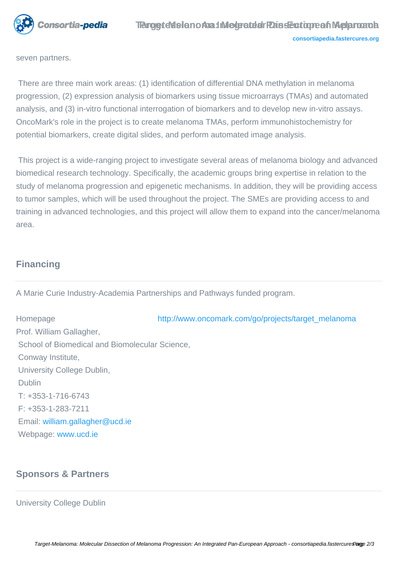

seven partners.

 There are three main work areas: (1) identification of differential DNA methylation in melanoma progression, (2) expression analysis of biomarkers using tissue microarrays (TMAs) and automated analysis, and (3) in-vitro functional interrogation of biomarkers and to develop new in-vitro assays. OncoMark's role in the project is to create melanoma TMAs, perform immunohistochemistry for potential biomarkers, create digital slides, and perform automated image analysis.

 This project is a wide-ranging project to investigate several areas of melanoma biology and advanced biomedical research technology. Specifically, the academic groups bring expertise in relation to the study of melanoma progression and epigenetic mechanisms. In addition, they will be providing access to tumor samples, which will be used throughout the project. The SMEs are providing access to and training in advanced technologies, and this project will allow them to expand into the cancer/melanoma area.

# **Financing**

A Marie Curie Industry-Academia Partnerships and Pathways funded program.

Homepage [http://www.oncomark.com/go/projects/target\\_melanoma](http://www.oncomark.com/go/projects/target_melanoma) Prof. William Gallagher, School of Biomedical and Biomolecular Science, Conway Institute, University College Dublin, Dublin T: +353-1-716-6743 F: +353-1-283-7211 Email: [william.gallagher@ucd.ie](mailto:william.gallagher@ucd.ie) Webpage: [www.ucd.ie](http://www.ucd.ie)

# **Sponsors & Partners**

University College Dublin